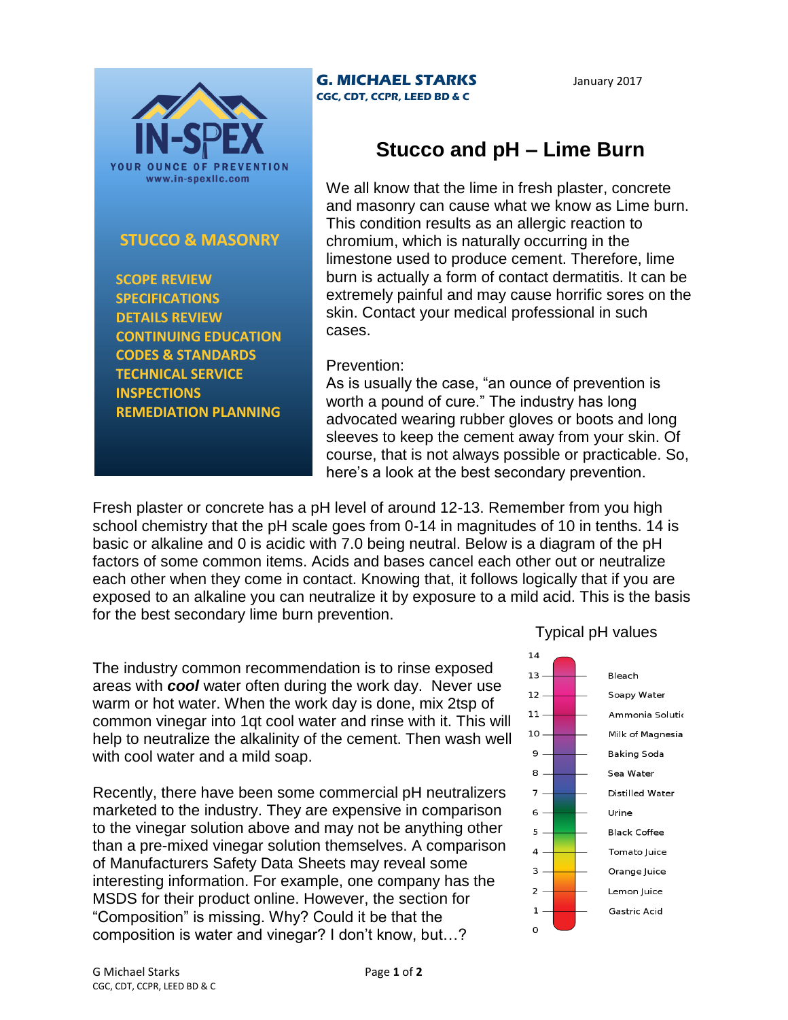

## **STUCCO & MASONRY**

 **SCOPE REVIEW SPECIFICATIONS DETAILS REVIEW CONTINUING EDUCATION CODES & STANDARDS TECHNICAL SERVICE INSPECTIONS REMEDIATION PLANNING**

## **G. MICHAEL STARKS CGC, CDT, CCPR, LEED BD & C**

January 2017

## **Stucco and pH – Lime Burn**

We all know that the lime in fresh plaster, concrete and masonry can cause what we know as Lime burn. This condition results as an allergic reaction to chromium, which is naturally occurring in the limestone used to produce cement. Therefore, lime burn is actually a form of contact dermatitis. It can be extremely painful and may cause horrific sores on the skin. Contact your medical professional in such cases.

## Prevention:

As is usually the case, "an ounce of prevention is worth a pound of cure." The industry has long advocated wearing rubber gloves or boots and long sleeves to keep the cement away from your skin. Of course, that is not always possible or practicable. So, here's a look at the best secondary prevention.

Fresh plaster or concrete has a pH level of around 12-13. Remember from you high school chemistry that the pH scale goes from 0-14 in magnitudes of 10 in tenths. 14 is basic or alkaline and 0 is acidic with 7.0 being neutral. Below is a diagram of the pH factors of some common items. Acids and bases cancel each other out or neutralize each other when they come in contact. Knowing that, it follows logically that if you are exposed to an alkaline you can neutralize it by exposure to a mild acid. This is the basis for the best secondary lime burn prevention.

The industry common recommendation is to rinse exposed areas with *cool* water often during the work day. Never use warm or hot water. When the work day is done, mix 2tsp of common vinegar into 1qt cool water and rinse with it. This will help to neutralize the alkalinity of the cement. Then wash well with cool water and a mild soap.

Recently, there have been some commercial pH neutralizers marketed to the industry. They are expensive in comparison to the vinegar solution above and may not be anything other than a pre-mixed vinegar solution themselves. A comparison of Manufacturers Safety Data Sheets may reveal some interesting information. For example, one company has the MSDS for their product online. However, the section for "Composition" is missing. Why? Could it be that the composition is water and vinegar? I don't know, but…?